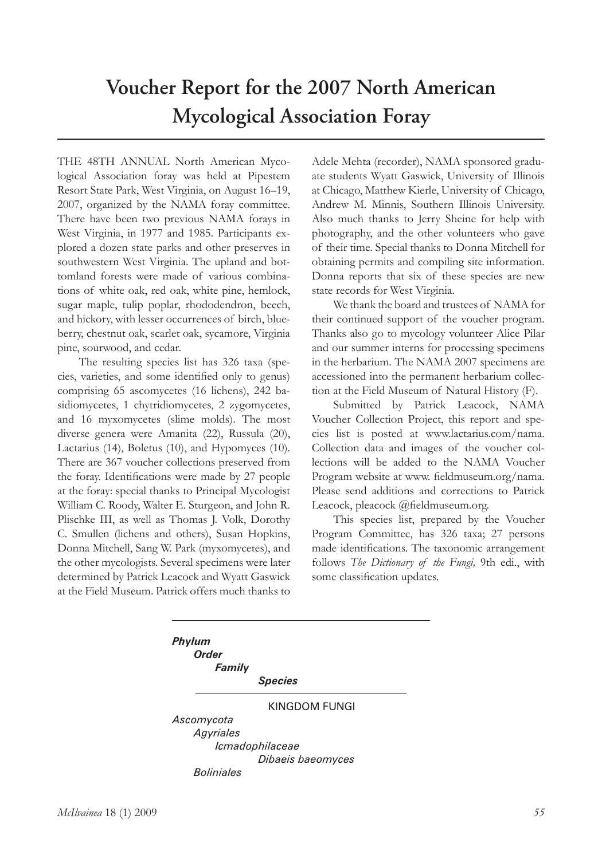## **Voucher Report for the 2007 North American Mycological Association Foray**

THE 48TH ANNUAL North American Mycological Association foray was held at Pipestem Resort State Park, West Virginia, on August 16–19, 2007, organized by the NAMA foray committee. There have been two previous NAMA forays in West Virginia, in 1977 and 1985. Participants explored a dozen state parks and other preserves in southwestern West Virginia. The upland and bottomland forests were made of various combinations of white oak, red oak, white pine, hemlock, sugar maple, tulip poplar, rhododendron, beech, and hickory, with lesser occurrences of birch, blueberry, chestnut oak, scarlet oak, sycamore, Virginia pine, sourwood, and cedar.

The resulting species list has 326 taxa (species, varieties, and some identified only to genus) comprising 65 ascomycetes (16 lichens), 242 basidiomycetes, 1 chytridiomycetes, 2 zygomycetes, and 16 myxomycetes (slime molds). The most diverse genera were Amanita (22), Russula (20), Lactarius (14), Boletus (10), and Hypomyces (10). There are 367 voucher collections preserved from the foray. Identifications were made by 27 people at the foray: special thanks to Principal Mycologist William C. Roody, Walter E. Sturgeon, and John R. Plischke III, as well as Thomas J. Volk, Dorothy C. Smullen (lichens and others), Susan Hopkins, Donna Mitchell, Sang W. Park (myxomycetes), and the other mycologists. Several specimens were later determined by Patrick Leacock and Wyatt Gaswick at the Field Museum. Patrick offers much thanks to

Adele Mehta (recorder), NAMA sponsored graduate students Wyatt Gaswick, University of Illinois at Chicago, Matthew Kierle, University of Chicago, Andrew M. Minnis, Southern Illinois University. Also much thanks to Jerry Sheine for help with photography, and the other volunteers who gave of their time. Special thanks to Donna Mitchell for obtaining permits and compiling site information. Donna reports that six of these species are new state records for West Virginia.

We thank the board and trustees of NAMA for their continued support of the voucher program. Thanks also go to mycology volunteer Alice Pilar and our summer interns for processing specimens in the herbarium. The NAMA 2007 specimens are accessioned into the permanent herbarium collection at the Field Museum of Natural History (F).

Submitted by Patrick Leacock, NAMA Voucher Collection Project, this report and species list is posted at www.lactarius.com/nama. Collection data and images of the voucher collections will be added to the NAMA Voucher Program website at www. fieldmuseum.org/nama. Please send additions and corrections to Patrick Leacock, pleacock @fieldmuseum.org.

This species list, prepared by the Voucher Program Committee, has 326 taxa; 27 persons made identifications. The taxonomic arrangement follows *The Dictionary of the Fungi,* 9th edi., with some classification updates.

*Phylum Order Family Species* KINGDOM FUNGI *Ascomycota Agyriales Icmadophilaceae Dibaeis baeomyces Boliniales*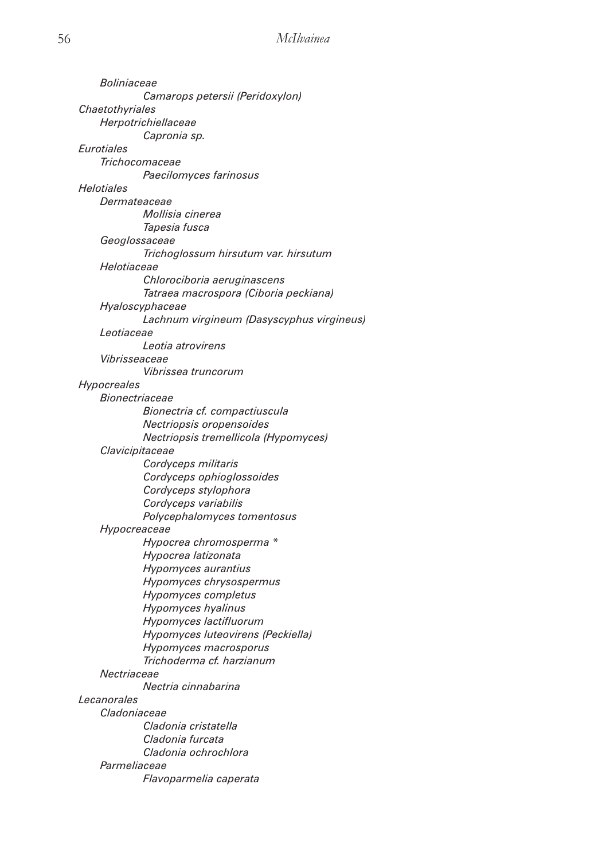| <i>Boliniaceae</i>              |                                           |
|---------------------------------|-------------------------------------------|
|                                 | Camarops petersii (Peridoxylon)           |
| Chaetothyriales                 |                                           |
| Herpotrichiellaceae             |                                           |
|                                 | Capronia sp.                              |
| <b><i><u>Eurotiales</u></i></b> |                                           |
| Trichocomaceae                  |                                           |
|                                 | Paecilomyces farinosus                    |
| Helotiales                      |                                           |
| Dermateaceae                    |                                           |
|                                 | <i>Mollisia cinerea</i>                   |
|                                 | Tapesia fusca                             |
| Geoglossaceae                   |                                           |
|                                 | Trichoglossum hirsutum var. hirsutum      |
| Helotiaceae                     |                                           |
|                                 | Chlorociboria aeruginascens               |
|                                 | Tatraea macrospora (Ciboria peckiana)     |
| Hyaloscyphaceae                 |                                           |
|                                 | Lachnum virgineum (Dasyscyphus virgineus) |
| Leotiaceae                      |                                           |
|                                 | Leotia atrovirens                         |
| Vibrisseaceae                   |                                           |
|                                 | Vibrissea truncorum                       |
| <b>Hypocreales</b>              |                                           |
| Bionectriaceae                  |                                           |
|                                 | Bionectria cf. compactiuscula             |
|                                 | Nectriopsis oropensoides                  |
|                                 | Nectriopsis tremellicola (Hypomyces)      |
| Clavicipitaceae                 |                                           |
|                                 | Cordyceps militaris                       |
|                                 | Cordyceps ophioglossoides                 |
|                                 | Cordyceps stylophora                      |
|                                 | Cordyceps variabilis                      |
|                                 | Polycephalomyces tomentosus               |
| Hypocreaceae                    |                                           |
|                                 | Hypocrea chromosperma *                   |
|                                 | Hypocrea latizonata                       |
|                                 | Hypomyces aurantius                       |
|                                 | Hypomyces chrysospermus                   |
|                                 | Hypomyces completus                       |
|                                 | Hypomyces hyalinus                        |
|                                 | Hypomyces lactifluorum                    |
|                                 | Hypomyces luteovirens (Peckiella)         |
|                                 | Hypomyces macrosporus                     |
|                                 | Trichoderma cf. harzianum                 |
| Nectriaceae                     |                                           |
|                                 | Nectria cinnabarina                       |
|                                 |                                           |
| Lecanorales<br>Cladoniaceae     |                                           |
|                                 |                                           |
|                                 | Cladonia cristatella                      |
|                                 | Cladonia furcata                          |
|                                 | Cladonia ochrochlora                      |
| Parmeliaceae                    |                                           |
|                                 | Flavoparmelia caperata                    |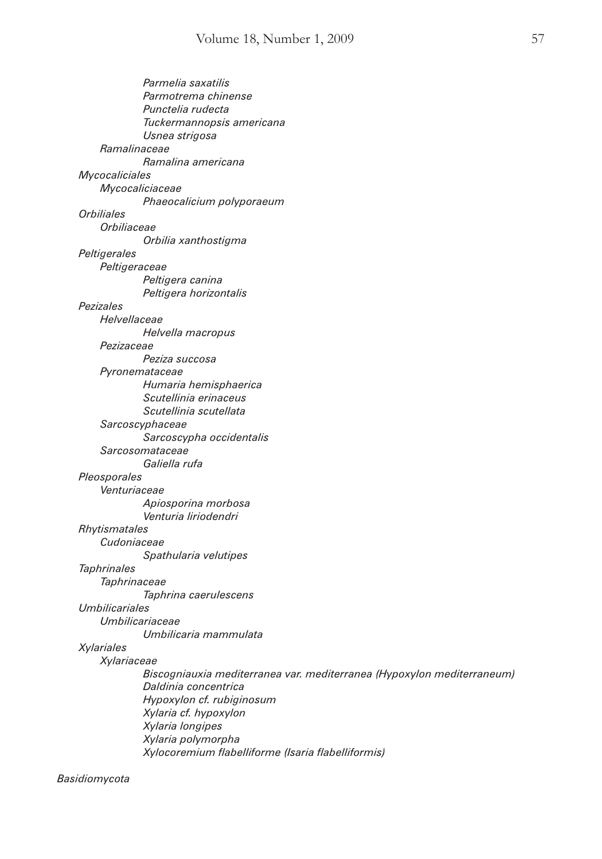|                       | Parmelia saxatilis<br>Parmotrema chinense<br>Punctelia rudecta         |
|-----------------------|------------------------------------------------------------------------|
|                       | Tuckermannopsis americana<br>Usnea strigosa                            |
| Ramalinaceae          |                                                                        |
|                       | Ramalina americana                                                     |
| Mycocaliciales        |                                                                        |
|                       | Mycocaliciaceae                                                        |
|                       | Phaeocalicium polyporaeum                                              |
| <b>Orbiliales</b>     |                                                                        |
| Orbiliaceae           |                                                                        |
|                       | Orbilia xanthostigma                                                   |
| Peltigerales          |                                                                        |
| Peltigeraceae         |                                                                        |
|                       | Peltigera canina                                                       |
|                       | Peltigera horizontalis                                                 |
| Pezizales             |                                                                        |
| Helvellaceae          |                                                                        |
|                       | Helvella macropus                                                      |
| Pezizaceae            |                                                                        |
|                       | Peziza succosa                                                         |
|                       | Pyronemataceae                                                         |
|                       | Humaria hemisphaerica                                                  |
|                       | Scutellinia erinaceus                                                  |
|                       | Scutellinia scutellata                                                 |
|                       | Sarcoscyphaceae                                                        |
|                       | Sarcoscypha occidentalis                                               |
|                       | Sarcosomataceae                                                        |
|                       | Galiella rufa                                                          |
| Pleosporales          |                                                                        |
| Venturiaceae          |                                                                        |
|                       | Apiosporina morbosa                                                    |
|                       | Venturia liriodendri                                                   |
| Rhytismatales         |                                                                        |
| Cudoniaceae           |                                                                        |
|                       | Spathularia velutipes                                                  |
| <b>Taphrinales</b>    |                                                                        |
| Taphrinaceae          |                                                                        |
|                       | Taphrina caerulescens                                                  |
| <b>Umbilicariales</b> |                                                                        |
|                       | Umbilicariaceae                                                        |
|                       | Umbilicaria mammulata                                                  |
| <b>Xylariales</b>     |                                                                        |
| Xylariaceae           |                                                                        |
|                       | Biscogniauxia mediterranea var. mediterranea (Hypoxylon mediterraneum) |
|                       | Daldinia concentrica                                                   |
|                       | Hypoxylon cf. rubiginosum                                              |
|                       | Xylaria cf. hypoxylon                                                  |
|                       | Xylaria longipes                                                       |
|                       | Xylaria polymorpha                                                     |
|                       | Xylocoremium flabelliforme (Isaria flabelliformis)                     |
|                       |                                                                        |

*Basidiomycota*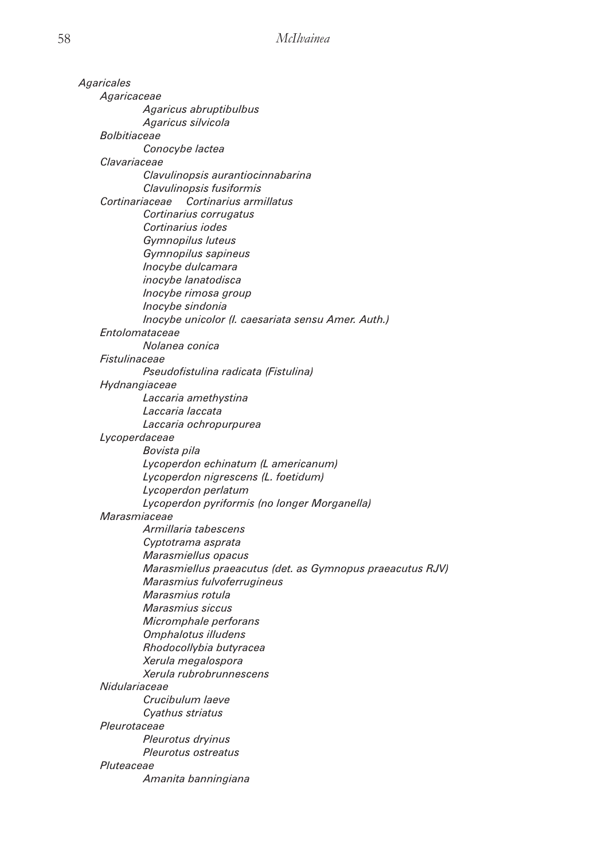*Agaricales Agaricaceae Agaricus abruptibulbus Agaricus silvicola Bolbitiaceae Conocybe lactea Clavariaceae Clavulinopsis aurantiocinnabarina Clavulinopsis fusiformis Cortinariaceae Cortinarius armillatus Cortinarius corrugatus Cortinarius iodes Gymnopilus luteus Gymnopilus sapineus Inocybe dulcamara inocybe lanatodisca Inocybe rimosa group Inocybe sindonia Inocybe unicolor (I. caesariata sensu Amer. Auth.) Entolomataceae Nolanea conica Fistulinaceae Pseudofistulina radicata (Fistulina) Hydnangiaceae Laccaria amethystina Laccaria laccata Laccaria ochropurpurea Lycoperdaceae Bovista pila Lycoperdon echinatum (L americanum) Lycoperdon nigrescens (L. foetidum) Lycoperdon perlatum Lycoperdon pyriformis (no longer Morganella) Marasmiaceae Armillaria tabescens Cyptotrama asprata Marasmiellus opacus Marasmiellus praeacutus (det. as Gymnopus praeacutus RJV) Marasmius fulvoferrugineus Marasmius rotula Marasmius siccus Micromphale perforans Omphalotus illudens Rhodocollybia butyracea Xerula megalospora Xerula rubrobrunnescens Nidulariaceae Crucibulum laeve Cyathus striatus Pleurotaceae Pleurotus dryinus Pleurotus ostreatus Pluteaceae Amanita banningiana*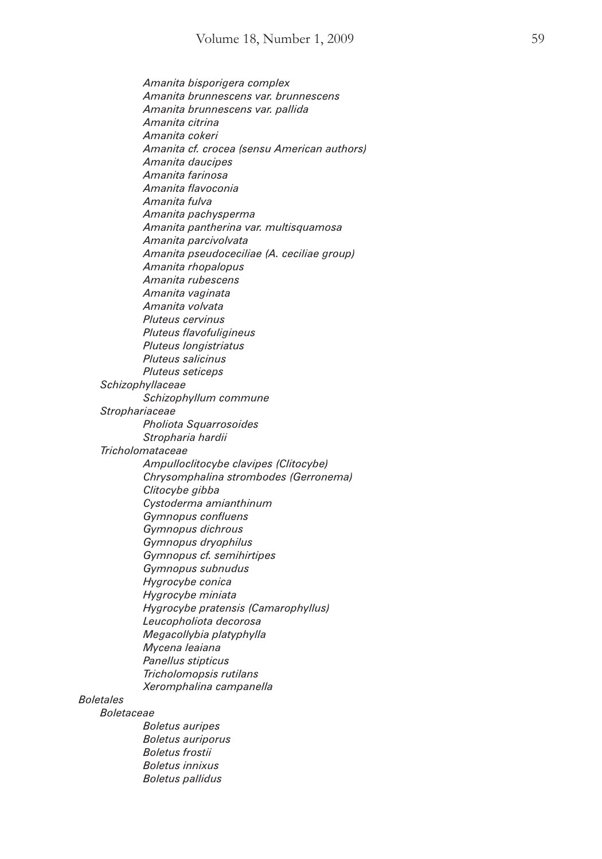*Amanita bisporigera complex Amanita brunnescens var. brunnescens Amanita brunnescens var. pallida Amanita citrina Amanita cokeri Amanita cf. crocea (sensu American authors) Amanita daucipes Amanita farinosa Amanita flavoconia Amanita fulva Amanita pachysperma Amanita pantherina var. multisquamosa Amanita parcivolvata Amanita pseudoceciliae (A. ceciliae group) Amanita rhopalopus Amanita rubescens Amanita vaginata Amanita volvata Pluteus cervinus Pluteus flavofuligineus Pluteus longistriatus Pluteus salicinus Pluteus seticeps Schizophyllaceae Schizophyllum commune Strophariaceae Pholiota Squarrosoides Stropharia hardii Tricholomataceae Ampulloclitocybe clavipes (Clitocybe) Chrysomphalina strombodes (Gerronema) Clitocybe gibba Cystoderma amianthinum Gymnopus confluens Gymnopus dichrous Gymnopus dryophilus Gymnopus cf. semihirtipes Gymnopus subnudus Hygrocybe conica Hygrocybe miniata Hygrocybe pratensis (Camarophyllus) Leucopholiota decorosa Megacollybia platyphylla Mycena leaiana Panellus stipticus Tricholomopsis rutilans Xeromphalina campanella Boletaceae*

*Boletales*

 *Boletus auripes Boletus auriporus Boletus frostii Boletus innixus Boletus pallidus*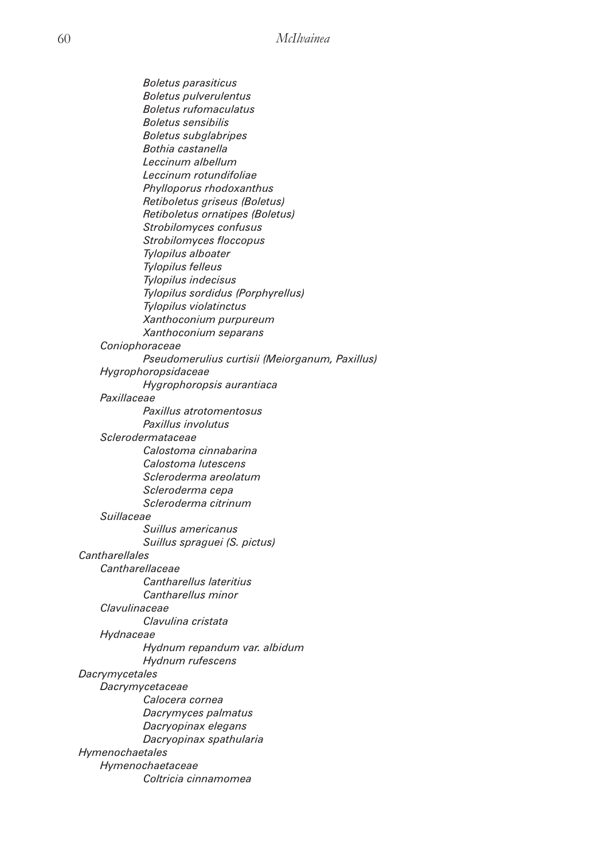*Boletus parasiticus Boletus pulverulentus Boletus rufomaculatus Boletus sensibilis Boletus subglabripes Bothia castanella Leccinum albellum Leccinum rotundifoliae Phylloporus rhodoxanthus Retiboletus griseus (Boletus) Retiboletus ornatipes (Boletus) Strobilomyces confusus Strobilomyces floccopus Tylopilus alboater Tylopilus felleus Tylopilus indecisus Tylopilus sordidus (Porphyrellus) Tylopilus violatinctus Xanthoconium purpureum Xanthoconium separans Coniophoraceae Pseudomerulius curtisii (Meiorganum, Paxillus) Hygrophoropsidaceae Hygrophoropsis aurantiaca Paxillaceae Paxillus atrotomentosus Paxillus involutus Sclerodermataceae Calostoma cinnabarina Calostoma lutescens Scleroderma areolatum Scleroderma cepa Scleroderma citrinum Suillaceae Suillus americanus Suillus spraguei (S. pictus) Cantharellales Cantharellaceae Cantharellus lateritius Cantharellus minor Clavulinaceae Clavulina cristata Hydnaceae Hydnum repandum var. albidum Hydnum rufescens Dacrymycetales Dacrymycetaceae Calocera cornea Dacrymyces palmatus Dacryopinax elegans Dacryopinax spathularia Hymenochaetales Hymenochaetaceae Coltricia cinnamomea*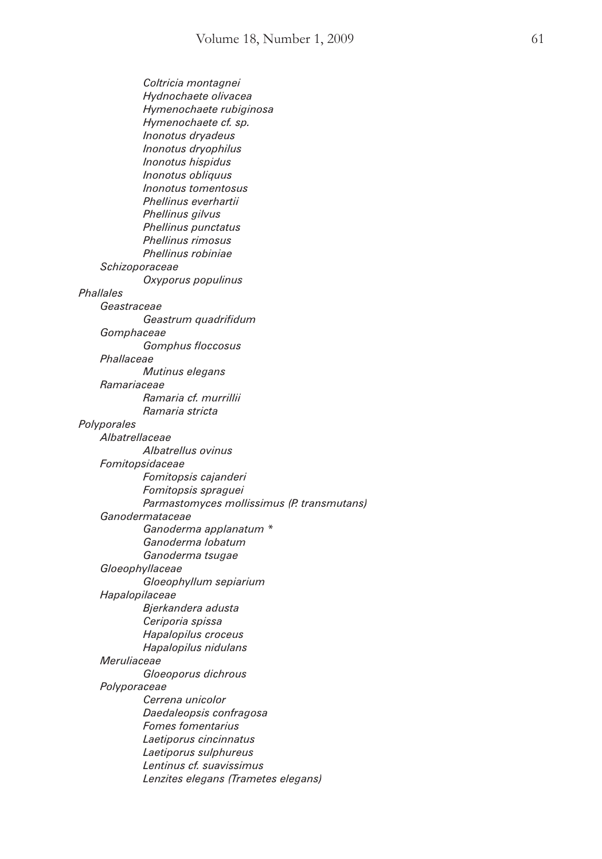*Coltricia montagnei Hydnochaete olivacea Hymenochaete rubiginosa Hymenochaete cf. sp. Inonotus dryadeus Inonotus dryophilus Inonotus hispidus Inonotus obliquus Inonotus tomentosus Phellinus everhartii Phellinus gilvus Phellinus punctatus Phellinus rimosus Phellinus robiniae Schizoporaceae Oxyporus populinus Phallales Geastraceae Geastrum quadrifidum Gomphaceae Gomphus floccosus Phallaceae Mutinus elegans Ramariaceae Ramaria cf. murrillii Ramaria stricta Polyporales Albatrellaceae Albatrellus ovinus Fomitopsidaceae Fomitopsis cajanderi Fomitopsis spraguei Parmastomyces mollissimus (P. transmutans) Ganodermataceae Ganoderma applanatum \* Ganoderma lobatum Ganoderma tsugae Gloeophyllaceae Gloeophyllum sepiarium Hapalopilaceae Bjerkandera adusta Ceriporia spissa Hapalopilus croceus Hapalopilus nidulans Meruliaceae Gloeoporus dichrous Polyporaceae Cerrena unicolor Daedaleopsis confragosa Fomes fomentarius Laetiporus cincinnatus Laetiporus sulphureus Lentinus cf. suavissimus Lenzites elegans (Trametes elegans)*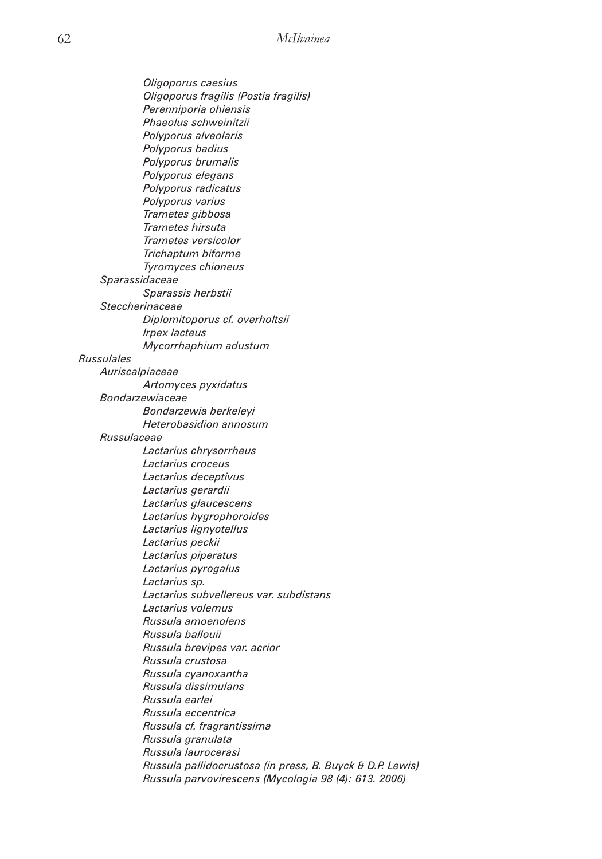*Oligoporus caesius Oligoporus fragilis (Postia fragilis) Perenniporia ohiensis Phaeolus schweinitzii Polyporus alveolaris Polyporus badius Polyporus brumalis Polyporus elegans Polyporus radicatus Polyporus varius Trametes gibbosa Trametes hirsuta Trametes versicolor Trichaptum biforme Tyromyces chioneus Sparassidaceae Sparassis herbstii Steccherinaceae Diplomitoporus cf. overholtsii Irpex lacteus Mycorrhaphium adustum Russulales Auriscalpiaceae Artomyces pyxidatus Bondarzewiaceae Bondarzewia berkeleyi Heterobasidion annosum Russulaceae Lactarius chrysorrheus Lactarius croceus Lactarius deceptivus Lactarius gerardii Lactarius glaucescens Lactarius hygrophoroides Lactarius lignyotellus Lactarius peckii Lactarius piperatus Lactarius pyrogalus Lactarius sp. Lactarius subvellereus var. subdistans Lactarius volemus Russula amoenolens Russula ballouii Russula brevipes var. acrior Russula crustosa Russula cyanoxantha Russula dissimulans Russula earlei Russula eccentrica Russula cf. fragrantissima Russula granulata Russula laurocerasi Russula pallidocrustosa (in press, B. Buyck & D.P. Lewis) Russula parvovirescens (Mycologia 98 (4): 613. 2006)*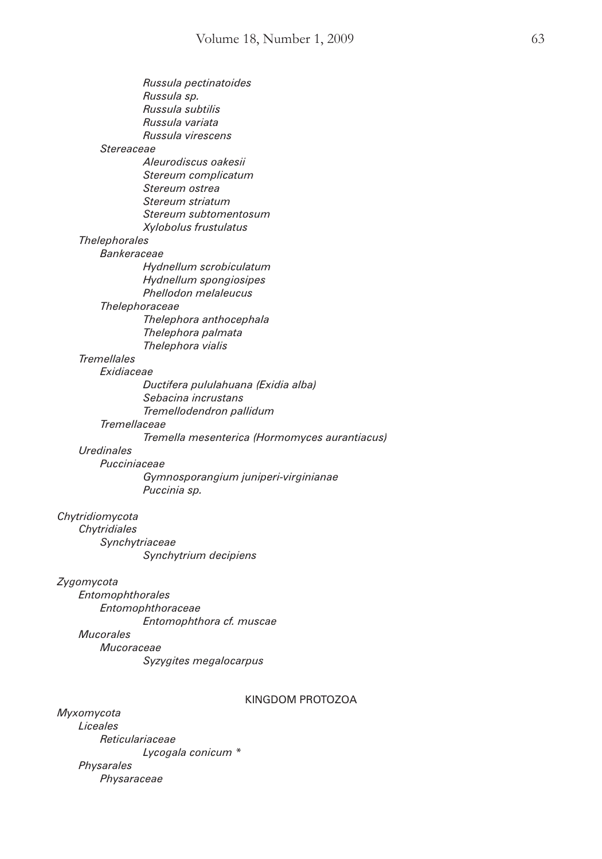|                      | Russula pectinatoides                         |
|----------------------|-----------------------------------------------|
|                      | Russula sp.                                   |
|                      | Russula subtilis                              |
|                      | Russula variata                               |
|                      | Russula virescens                             |
| Stereaceae           |                                               |
|                      | Aleurodiscus oakesii                          |
|                      | Stereum complicatum                           |
|                      | Stereum ostrea                                |
|                      | Stereum striatum                              |
|                      | Stereum subtomentosum                         |
|                      | Xylobolus frustulatus                         |
| <b>Thelephorales</b> |                                               |
| Bankeraceae          |                                               |
|                      | Hydnellum scrobiculatum                       |
|                      | Hydnellum spongiosipes                        |
|                      | Phellodon melaleucus                          |
| Thelephoraceae       |                                               |
|                      | Thelephora anthocephala                       |
|                      | Thelephora palmata                            |
|                      | Thelephora vialis                             |
| <b>Tremellales</b>   |                                               |
| Exidiaceae           |                                               |
|                      | Ductifera pululahuana (Exidia alba)           |
|                      | Sebacina incrustans                           |
|                      | Tremellodendron pallidum                      |
| Tremellaceae         |                                               |
|                      | Tremella mesenterica (Hormomyces aurantiacus) |
| Uredinales           |                                               |
| Pucciniaceae         |                                               |
|                      | Gymnosporangium juniperi-virginianae          |
|                      | Puccinia sp.                                  |
|                      |                                               |
| Chytridiomycota      |                                               |
| Chytridiales         |                                               |
| Synchytriaceae       |                                               |
|                      | Synchytrium decipiens                         |
| Zygomycota           |                                               |
| Entomophthorales     |                                               |
|                      | Entomophthoraceae                             |
|                      | Entomophthora cf. muscae                      |
| <b>Mucorales</b>     |                                               |
| Mucoraceae           |                                               |
|                      | Syzygites megalocarpus                        |
|                      |                                               |
|                      |                                               |

## KINGDOM PROTOZOA

*Myxomycota Liceales Reticulariaceae Lycogala conicum \* Physarales Physaraceae*